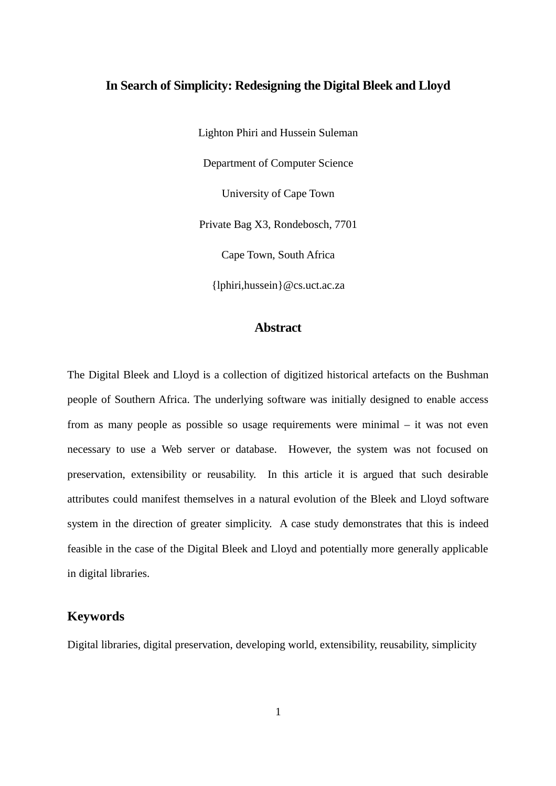# **In Search of Simplicity: Redesigning the Digital Bleek and Lloyd**

Lighton Phiri and Hussein Suleman Department of Computer Science University of Cape Town Private Bag X3, Rondebosch, 7701 Cape Town, South Africa {lphiri,hussein}@cs.uct.ac.za

# **Abstract**

The Digital Bleek and Lloyd is a collection of digitized historical artefacts on the Bushman people of Southern Africa. The underlying software was initially designed to enable access from as many people as possible so usage requirements were minimal – it was not even necessary to use a Web server or database. However, the system was not focused on preservation, extensibility or reusability. In this article it is argued that such desirable attributes could manifest themselves in a natural evolution of the Bleek and Lloyd software system in the direction of greater simplicity. A case study demonstrates that this is indeed feasible in the case of the Digital Bleek and Lloyd and potentially more generally applicable in digital libraries.

### **Keywords**

Digital libraries, digital preservation, developing world, extensibility, reusability, simplicity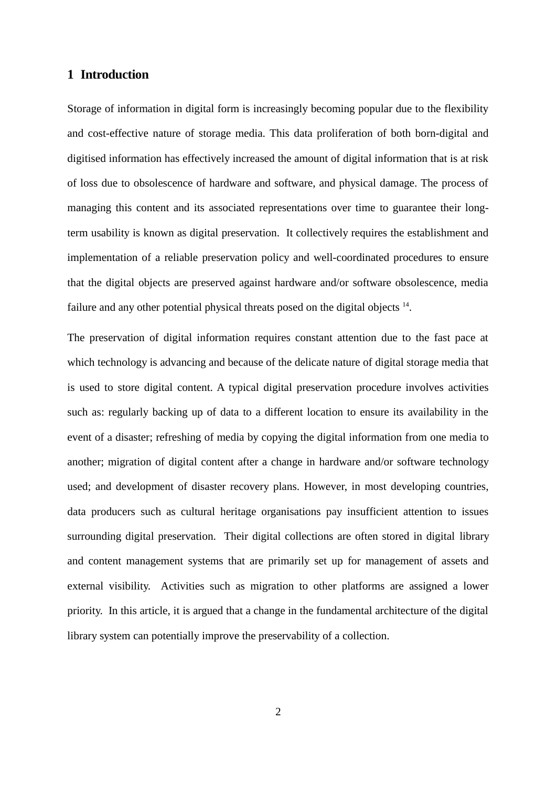### **1 Introduction**

Storage of information in digital form is increasingly becoming popular due to the flexibility and cost-effective nature of storage media. This data proliferation of both born-digital and digitised information has effectively increased the amount of digital information that is at risk of loss due to obsolescence of hardware and software, and physical damage. The process of managing this content and its associated representations over time to guarantee their longterm usability is known as digital preservation. It collectively requires the establishment and implementation of a reliable preservation policy and well-coordinated procedures to ensure that the digital objects are preserved against hardware and/or software obsolescence, media failure and any other potential physical threats posed on the digital objects  $14$ .

The preservation of digital information requires constant attention due to the fast pace at which technology is advancing and because of the delicate nature of digital storage media that is used to store digital content. A typical digital preservation procedure involves activities such as: regularly backing up of data to a different location to ensure its availability in the event of a disaster; refreshing of media by copying the digital information from one media to another; migration of digital content after a change in hardware and/or software technology used; and development of disaster recovery plans. However, in most developing countries, data producers such as cultural heritage organisations pay insufficient attention to issues surrounding digital preservation. Their digital collections are often stored in digital library and content management systems that are primarily set up for management of assets and external visibility. Activities such as migration to other platforms are assigned a lower priority. In this article, it is argued that a change in the fundamental architecture of the digital library system can potentially improve the preservability of a collection.

2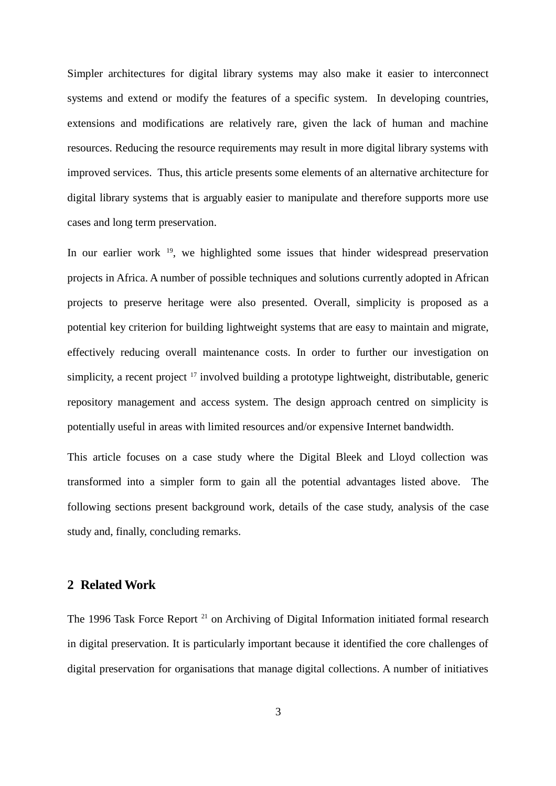Simpler architectures for digital library systems may also make it easier to interconnect systems and extend or modify the features of a specific system. In developing countries, extensions and modifications are relatively rare, given the lack of human and machine resources. Reducing the resource requirements may result in more digital library systems with improved services. Thus, this article presents some elements of an alternative architecture for digital library systems that is arguably easier to manipulate and therefore supports more use cases and long term preservation.

In our earlier work <sup>19</sup>, we highlighted some issues that hinder widespread preservation projects in Africa. A number of possible techniques and solutions currently adopted in African projects to preserve heritage were also presented. Overall, simplicity is proposed as a potential key criterion for building lightweight systems that are easy to maintain and migrate, effectively reducing overall maintenance costs. In order to further our investigation on simplicity, a recent project <sup>17</sup> involved building a prototype lightweight, distributable, generic repository management and access system. The design approach centred on simplicity is potentially useful in areas with limited resources and/or expensive Internet bandwidth.

This article focuses on a case study where the Digital Bleek and Lloyd collection was transformed into a simpler form to gain all the potential advantages listed above. The following sections present background work, details of the case study, analysis of the case study and, finally, concluding remarks.

### **2 Related Work**

The 1996 Task Force Report<sup>21</sup> on Archiving of Digital Information initiated formal research in digital preservation. It is particularly important because it identified the core challenges of digital preservation for organisations that manage digital collections. A number of initiatives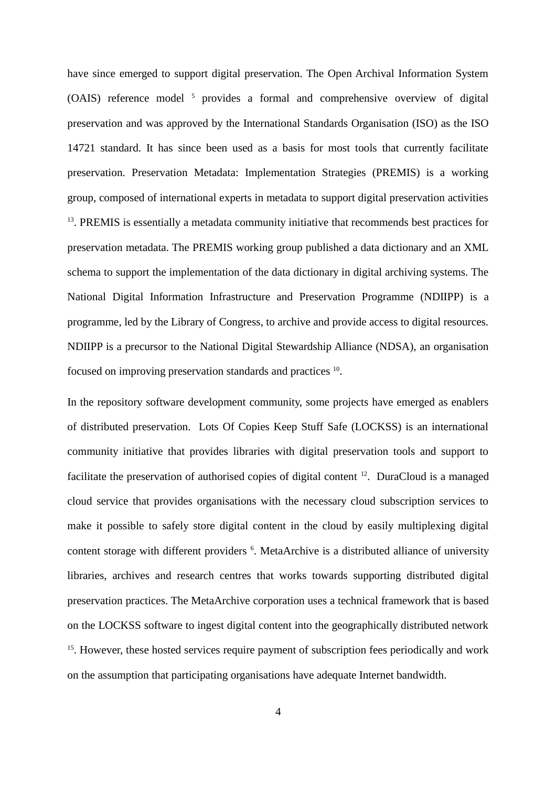have since emerged to support digital preservation. The Open Archival Information System (OAIS) reference model <sup>5</sup> provides a formal and comprehensive overview of digital preservation and was approved by the International Standards Organisation (ISO) as the ISO 14721 standard. It has since been used as a basis for most tools that currently facilitate preservation. Preservation Metadata: Implementation Strategies (PREMIS) is a working group, composed of international experts in metadata to support digital preservation activities <sup>13</sup>. PREMIS is essentially a metadata community initiative that recommends best practices for preservation metadata. The PREMIS working group published a data dictionary and an XML schema to support the implementation of the data dictionary in digital archiving systems. The National Digital Information Infrastructure and Preservation Programme (NDIIPP) is a programme, led by the Library of Congress, to archive and provide access to digital resources. NDIIPP is a precursor to the National Digital Stewardship Alliance (NDSA), an organisation focused on improving preservation standards and practices  $10$ .

In the repository software development community, some projects have emerged as enablers of distributed preservation. Lots Of Copies Keep Stuff Safe (LOCKSS) is an international community initiative that provides libraries with digital preservation tools and support to facilitate the preservation of authorised copies of digital content <sup>12</sup>. DuraCloud is a managed cloud service that provides organisations with the necessary cloud subscription services to make it possible to safely store digital content in the cloud by easily multiplexing digital content storage with different providers  $6$ . MetaArchive is a distributed alliance of university libraries, archives and research centres that works towards supporting distributed digital preservation practices. The MetaArchive corporation uses a technical framework that is based on the LOCKSS software to ingest digital content into the geographically distributed network <sup>15</sup>. However, these hosted services require payment of subscription fees periodically and work on the assumption that participating organisations have adequate Internet bandwidth.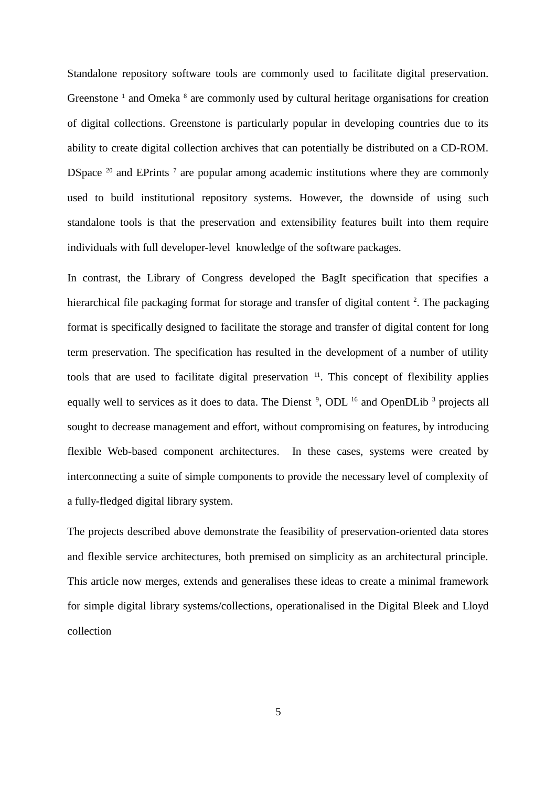Standalone repository software tools are commonly used to facilitate digital preservation. Greenstone<sup>1</sup> and Omeka<sup>8</sup> are commonly used by cultural heritage organisations for creation of digital collections. Greenstone is particularly popular in developing countries due to its ability to create digital collection archives that can potentially be distributed on a CD-ROM. DSpace  $^{20}$  and EPrints  $^7$  are popular among academic institutions where they are commonly used to build institutional repository systems. However, the downside of using such standalone tools is that the preservation and extensibility features built into them require individuals with full developer-level knowledge of the software packages.

In contrast, the Library of Congress developed the BagIt specification that specifies a hierarchical file packaging format for storage and transfer of digital content  $2$ . The packaging format is specifically designed to facilitate the storage and transfer of digital content for long term preservation. The specification has resulted in the development of a number of utility tools that are used to facilitate digital preservation  $11$ . This concept of flexibility applies equally well to services as it does to data. The Dienst  $9$ , ODL  $^{16}$  and OpenDLib  $^3$  projects all sought to decrease management and effort, without compromising on features, by introducing flexible Web-based component architectures. In these cases, systems were created by interconnecting a suite of simple components to provide the necessary level of complexity of a fully-fledged digital library system.

The projects described above demonstrate the feasibility of preservation-oriented data stores and flexible service architectures, both premised on simplicity as an architectural principle. This article now merges, extends and generalises these ideas to create a minimal framework for simple digital library systems/collections, operationalised in the Digital Bleek and Lloyd collection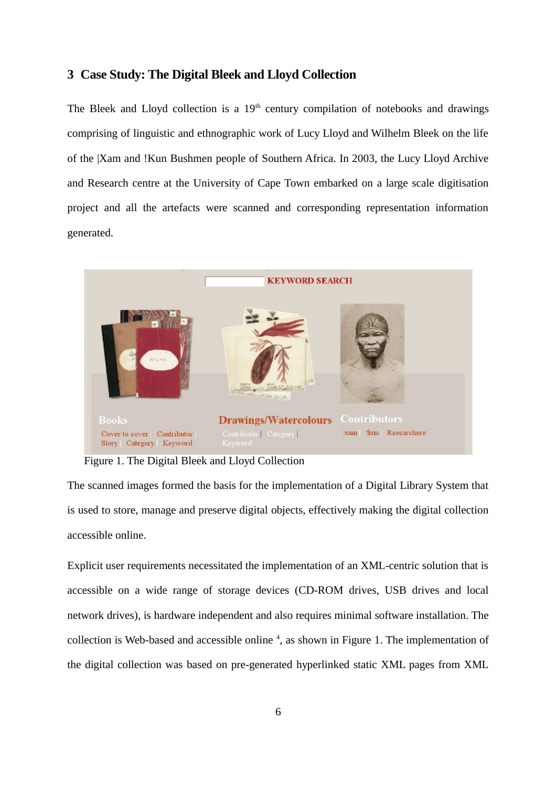## **3 Case Study: The Digital Bleek and Lloyd Collection**

The Bleek and Lloyd collection is a  $19<sup>th</sup>$  century compilation of notebooks and drawings comprising of linguistic and ethnographic work of Lucy Lloyd and Wilhelm Bleek on the life of the |Xam and !Kun Bushmen people of Southern Africa. In 2003, the Lucy Lloyd Archive and Research centre at the University of Cape Town embarked on a large scale digitisation project and all the artefacts were scanned and corresponding representation information generated.



Figure 1. The Digital Bleek and Lloyd Collection

<span id="page-5-0"></span>The scanned images formed the basis for the implementation of a Digital Library System that is used to store, manage and preserve digital objects, effectively making the digital collection accessible online.

Explicit user requirements necessitated the implementation of an XML-centric solution that is accessible on a wide range of storage devices (CD-ROM drives, USB drives and local network drives), is hardware independent and also requires minimal software installation. The collection is Web-based and accessible online<sup>4</sup>, as shown in Figure [1.](#page-5-0) The implementation of the digital collection was based on pre-generated hyperlinked static XML pages from XML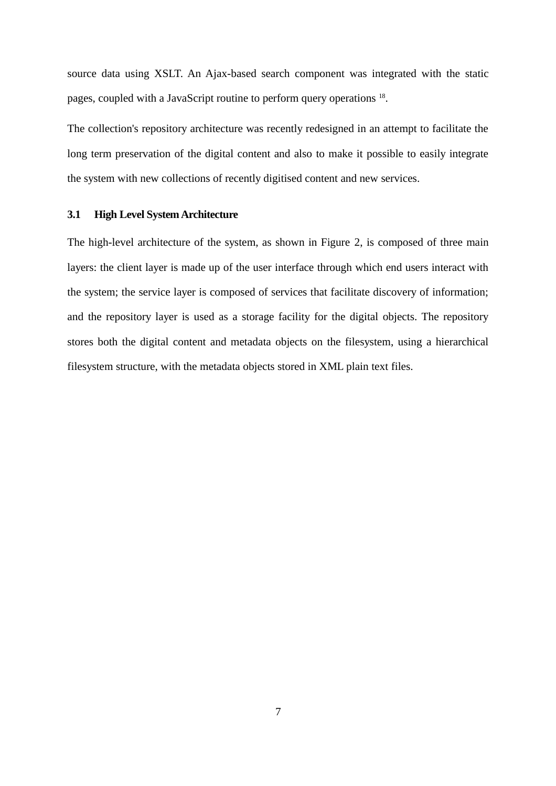source data using XSLT. An Ajax-based search component was integrated with the static pages, coupled with a JavaScript routine to perform query operations <sup>18</sup>.

The collection's repository architecture was recently redesigned in an attempt to facilitate the long term preservation of the digital content and also to make it possible to easily integrate the system with new collections of recently digitised content and new services.

### **3.1 High Level System Architecture**

The high-level architecture of the system, as shown in Figure [2,](#page-7-0) is composed of three main layers: the client layer is made up of the user interface through which end users interact with the system; the service layer is composed of services that facilitate discovery of information; and the repository layer is used as a storage facility for the digital objects. The repository stores both the digital content and metadata objects on the filesystem, using a hierarchical filesystem structure, with the metadata objects stored in XML plain text files.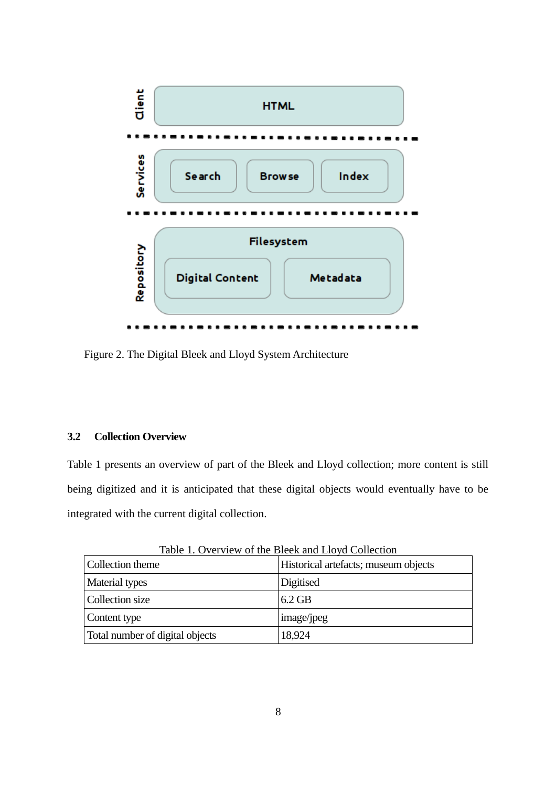

<span id="page-7-0"></span>Figure 2. The Digital Bleek and Lloyd System Architecture

# **3.2 Collection Overview**

Table [1](#page-7-1) presents an overview of part of the Bleek and Lloyd collection; more content is still being digitized and it is anticipated that these digital objects would eventually have to be integrated with the current digital collection.

| 10010 11 0 TCl TIC IT OF AIC DICCII 0110 110 TO COMCCHOIL |                                      |
|-----------------------------------------------------------|--------------------------------------|
| Collection theme                                          | Historical artefacts; museum objects |
| <b>Material types</b>                                     | <b>Digitised</b>                     |
| Collection size                                           | $6.2$ GB                             |
| Content type                                              | image/jpeg                           |
| Total number of digital objects                           | 18,924                               |

<span id="page-7-1"></span>Table 1. Overview of the Bleek and Lloyd Collection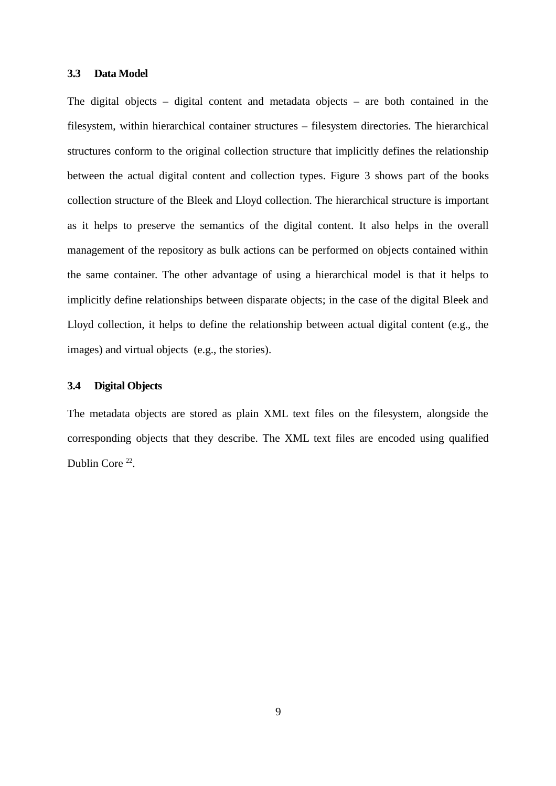#### **3.3 Data Model**

The digital objects – digital content and metadata objects – are both contained in the filesystem, within hierarchical container structures – filesystem directories. The hierarchical structures conform to the original collection structure that implicitly defines the relationship between the actual digital content and collection types. Figure [3](#page-9-0) shows part of the books collection structure of the Bleek and Lloyd collection. The hierarchical structure is important as it helps to preserve the semantics of the digital content. It also helps in the overall management of the repository as bulk actions can be performed on objects contained within the same container. The other advantage of using a hierarchical model is that it helps to implicitly define relationships between disparate objects; in the case of the digital Bleek and Lloyd collection, it helps to define the relationship between actual digital content (e.g., the images) and virtual objects (e.g., the stories).

### **3.4 Digital Objects**

The metadata objects are stored as plain XML text files on the filesystem, alongside the corresponding objects that they describe. The XML text files are encoded using qualified Dublin Core<sup>22</sup>.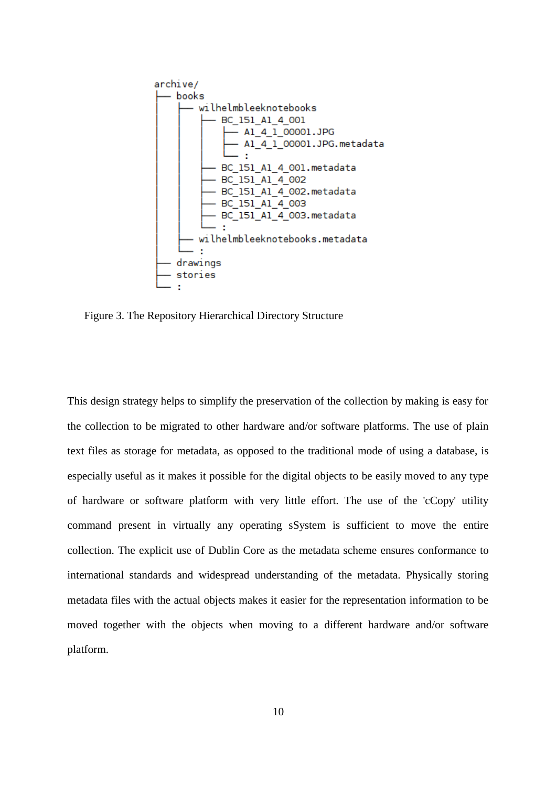

<span id="page-9-0"></span>Figure 3. The Repository Hierarchical Directory Structure

This design strategy helps to simplify the preservation of the collection by making is easy for the collection to be migrated to other hardware and/or software platforms. The use of plain text files as storage for metadata, as opposed to the traditional mode of using a database, is especially useful as it makes it possible for the digital objects to be easily moved to any type of hardware or software platform with very little effort. The use of the 'cCopy' utility command present in virtually any operating sSystem is sufficient to move the entire collection. The explicit use of Dublin Core as the metadata scheme ensures conformance to international standards and widespread understanding of the metadata. Physically storing metadata files with the actual objects makes it easier for the representation information to be moved together with the objects when moving to a different hardware and/or software platform.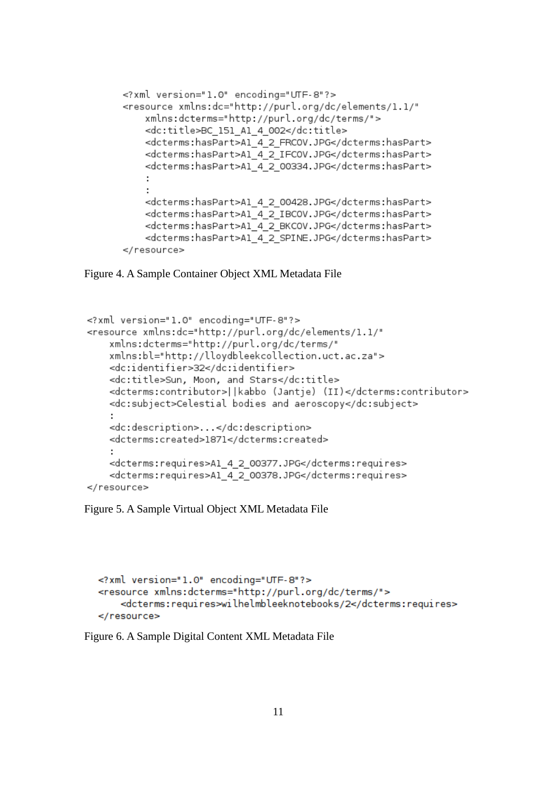```
<?xml version="1.0" encoding="UTF-8"?>
<resource xmlns:dc="http://purl.org/dc/elements/1.1/"
   xmlns:dcterms="http://purl.org/dc/terms/">
    <dc:title>BC 151 A1 4 002</dc:title>
    <dcterms:hasPart>Al_4_2_FRCOV.JPG</dcterms:hasPart>
    <dcterms:hasPart>Al 4 2 IFCOV.JPG</dcterms:hasPart>
    <dcterms:hasPart>Al 4 2 00334.JPG</dcterms:hasPart>
    <dcterms:hasPart>Al 4 2 00428.JPG</dcterms:hasPart>
    <dcterms:hasPart>Al 4 2 IBCOV.JPG</dcterms:hasPart>
    <dcterms:hasPart>Al_4_2_BKCOV.JPG</dcterms:hasPart>
    <dcterms:hasPart>Al_4_2_SPINE.JPG</dcterms:hasPart>
</resource>
```
<span id="page-10-2"></span>Figure 4. A Sample Container Object XML Metadata File

```
<?xml version="1.0" encoding="UTF-8"?>
<resource xmlns:dc="http://purl.org/dc/elements/1.1/"
    xmlns:dcterms="http://purl.org/dc/terms/"
    xmlns:bl="http://lloydbleekcollection.uct.ac.za">
    <dc:identifier>32</dc:identifier>
    <dc:title>Sun, Moon, and Stars</dc:title>
    <dcterms:contributor>||kabbo (Jantje) (II)</dcterms:contributor>
    <dc:subject>Celestial bodies and aeroscopy</dc:subject>
    <dc:description>...</dc:description>
    <dcterms:created>1871</dcterms:created>
    <dcterms:requires>A1_4_2_00377.JPG</dcterms:requires>
    <dcterms:requires>Al 4 2 00378.JPG</dcterms:requires>
</resource>
```
<span id="page-10-1"></span>Figure 5. A Sample Virtual Object XML Metadata File

```
<?xml version="1.0" encoding="UTF-8"?>
<resource xmlns:dcterms="http://purl.org/dc/terms/">
    <dcterms:requires>wilhelmbleeknotebooks/2</dcterms:requires>
</resource>
```
<span id="page-10-0"></span>Figure 6. A Sample Digital Content XML Metadata File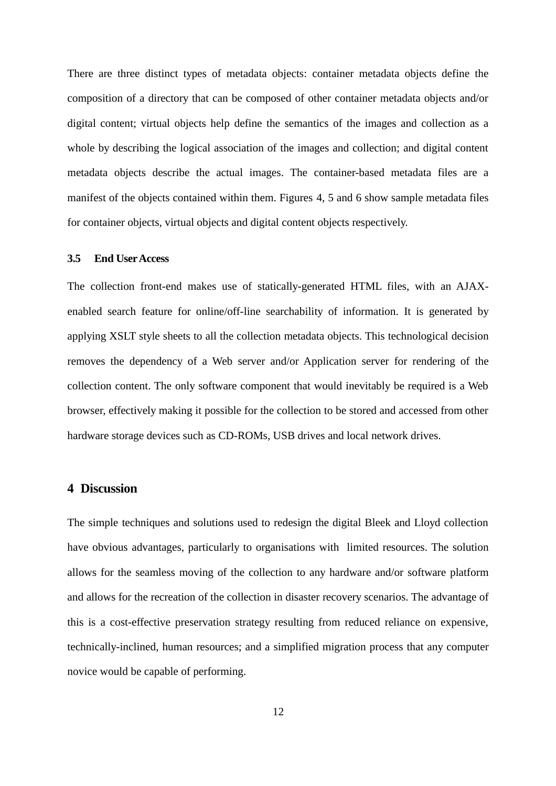There are three distinct types of metadata objects: container metadata objects define the composition of a directory that can be composed of other container metadata objects and/or digital content; virtual objects help define the semantics of the images and collection as a whole by describing the logical association of the images and collection; and digital content metadata objects describe the actual images. The container-based metadata files are a manifest of the objects contained within them. Figures [4,](#page-10-2) [5](#page-10-1) and [6](#page-10-0) show sample metadata files for container objects, virtual objects and digital content objects respectively.

#### **3.5 End User Access**

The collection front-end makes use of statically-generated HTML files, with an AJAXenabled search feature for online/off-line searchability of information. It is generated by applying XSLT style sheets to all the collection metadata objects. This technological decision removes the dependency of a Web server and/or Application server for rendering of the collection content. The only software component that would inevitably be required is a Web browser, effectively making it possible for the collection to be stored and accessed from other hardware storage devices such as CD-ROMs, USB drives and local network drives.

# **4 Discussion**

The simple techniques and solutions used to redesign the digital Bleek and Lloyd collection have obvious advantages, particularly to organisations with limited resources. The solution allows for the seamless moving of the collection to any hardware and/or software platform and allows for the recreation of the collection in disaster recovery scenarios. The advantage of this is a cost-effective preservation strategy resulting from reduced reliance on expensive, technically-inclined, human resources; and a simplified migration process that any computer novice would be capable of performing.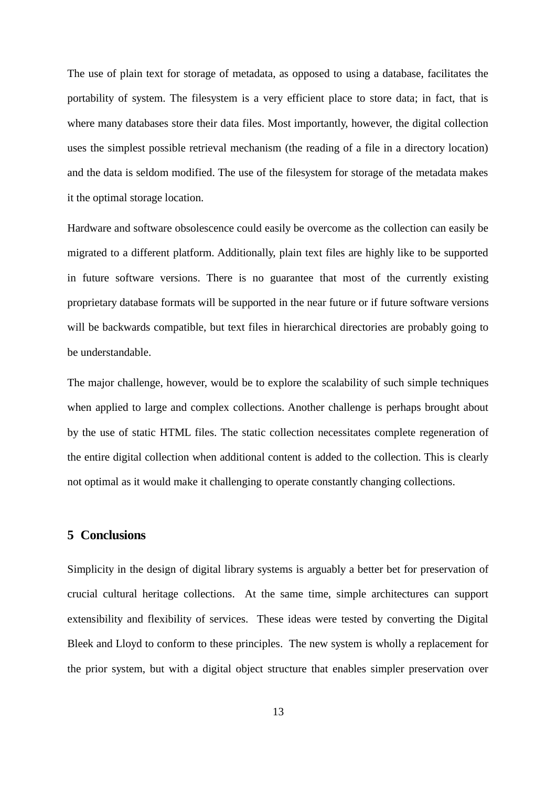The use of plain text for storage of metadata, as opposed to using a database, facilitates the portability of system. The filesystem is a very efficient place to store data; in fact, that is where many databases store their data files. Most importantly, however, the digital collection uses the simplest possible retrieval mechanism (the reading of a file in a directory location) and the data is seldom modified. The use of the filesystem for storage of the metadata makes it the optimal storage location.

Hardware and software obsolescence could easily be overcome as the collection can easily be migrated to a different platform. Additionally, plain text files are highly like to be supported in future software versions. There is no guarantee that most of the currently existing proprietary database formats will be supported in the near future or if future software versions will be backwards compatible, but text files in hierarchical directories are probably going to be understandable.

The major challenge, however, would be to explore the scalability of such simple techniques when applied to large and complex collections. Another challenge is perhaps brought about by the use of static HTML files. The static collection necessitates complete regeneration of the entire digital collection when additional content is added to the collection. This is clearly not optimal as it would make it challenging to operate constantly changing collections.

### **5 Conclusions**

Simplicity in the design of digital library systems is arguably a better bet for preservation of crucial cultural heritage collections. At the same time, simple architectures can support extensibility and flexibility of services. These ideas were tested by converting the Digital Bleek and Lloyd to conform to these principles. The new system is wholly a replacement for the prior system, but with a digital object structure that enables simpler preservation over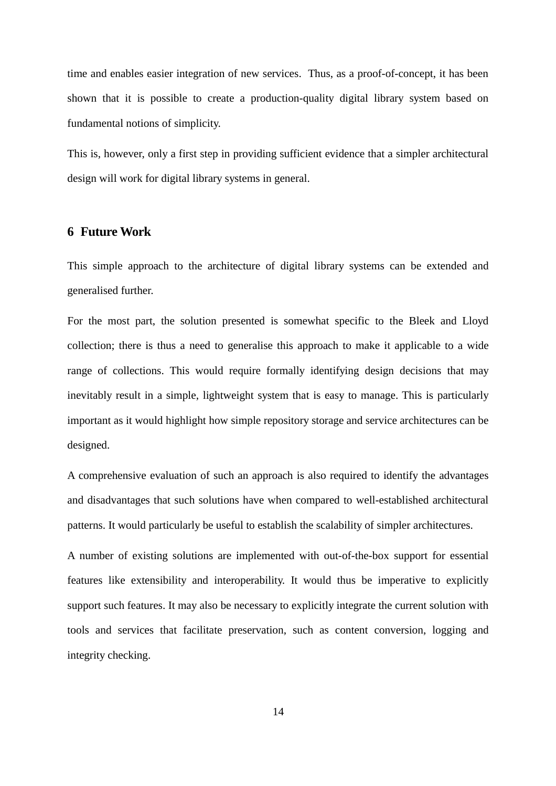time and enables easier integration of new services. Thus, as a proof-of-concept, it has been shown that it is possible to create a production-quality digital library system based on fundamental notions of simplicity.

This is, however, only a first step in providing sufficient evidence that a simpler architectural design will work for digital library systems in general.

# **6 Future Work**

This simple approach to the architecture of digital library systems can be extended and generalised further.

For the most part, the solution presented is somewhat specific to the Bleek and Lloyd collection; there is thus a need to generalise this approach to make it applicable to a wide range of collections. This would require formally identifying design decisions that may inevitably result in a simple, lightweight system that is easy to manage. This is particularly important as it would highlight how simple repository storage and service architectures can be designed.

A comprehensive evaluation of such an approach is also required to identify the advantages and disadvantages that such solutions have when compared to well-established architectural patterns. It would particularly be useful to establish the scalability of simpler architectures.

A number of existing solutions are implemented with out-of-the-box support for essential features like extensibility and interoperability. It would thus be imperative to explicitly support such features. It may also be necessary to explicitly integrate the current solution with tools and services that facilitate preservation, such as content conversion, logging and integrity checking.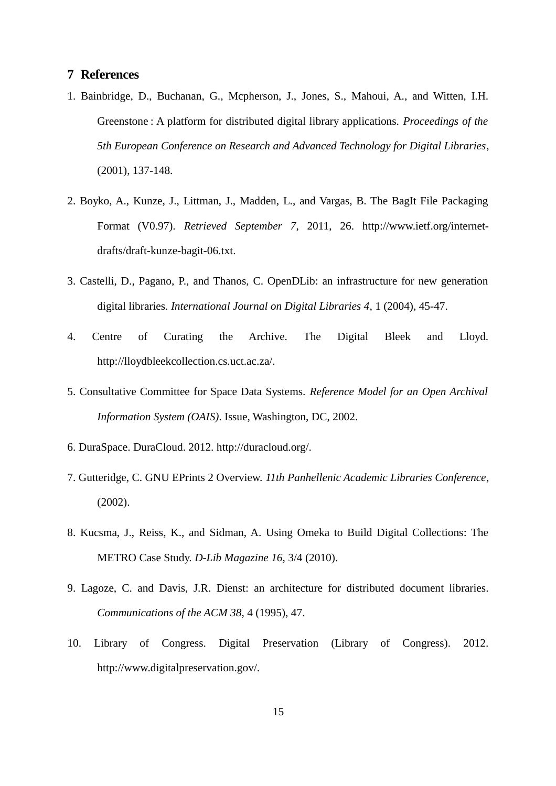# **7 References**

- 1. Bainbridge, D., Buchanan, G., Mcpherson, J., Jones, S., Mahoui, A., and Witten, I.H. Greenstone : A platform for distributed digital library applications. *Proceedings of the 5th European Conference on Research and Advanced Technology for Digital Libraries*, (2001), 137-148.
- 2. Boyko, A., Kunze, J., Littman, J., Madden, L., and Vargas, B. The BagIt File Packaging Format (V0.97). *Retrieved September 7*, 2011, 26. http://www.ietf.org/internetdrafts/draft-kunze-bagit-06.txt.
- 3. Castelli, D., Pagano, P., and Thanos, C. OpenDLib: an infrastructure for new generation digital libraries. *International Journal on Digital Libraries 4*, 1 (2004), 45-47.
- 4. Centre of Curating the Archive. The Digital Bleek and Lloyd. http://lloydbleekcollection.cs.uct.ac.za/.
- 5. Consultative Committee for Space Data Systems. *Reference Model for an Open Archival Information System (OAIS)*. Issue, Washington, DC, 2002.
- 6. DuraSpace. DuraCloud. 2012. http://duracloud.org/.
- 7. Gutteridge, C. GNU EPrints 2 Overview. *11th Panhellenic Academic Libraries Conference*, (2002).
- 8. Kucsma, J., Reiss, K., and Sidman, A. Using Omeka to Build Digital Collections: The METRO Case Study. *D-Lib Magazine 16*, 3/4 (2010).
- 9. Lagoze, C. and Davis, J.R. Dienst: an architecture for distributed document libraries. *Communications of the ACM 38*, 4 (1995), 47.
- 10. Library of Congress. Digital Preservation (Library of Congress). 2012. http://www.digitalpreservation.gov/.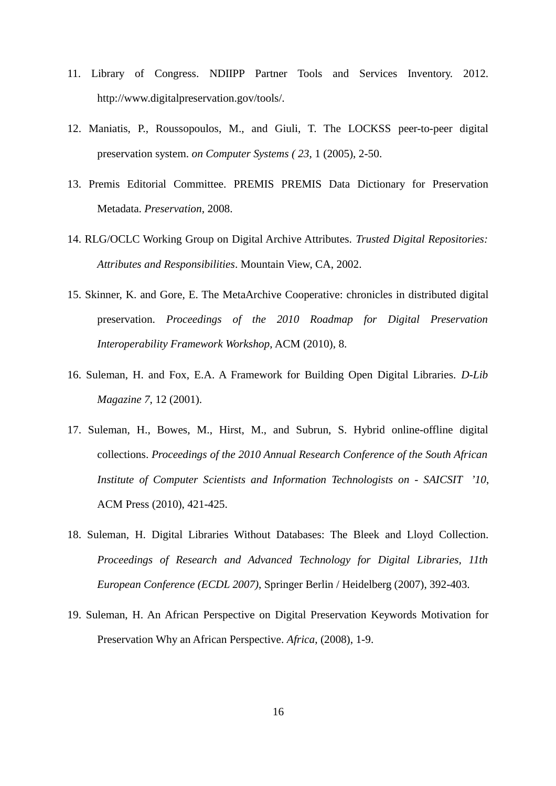- 11. Library of Congress. NDIIPP Partner Tools and Services Inventory. 2012. http://www.digitalpreservation.gov/tools/.
- 12. Maniatis, P., Roussopoulos, M., and Giuli, T. The LOCKSS peer-to-peer digital preservation system. *on Computer Systems ( 23*, 1 (2005), 2-50.
- 13. Premis Editorial Committee. PREMIS PREMIS Data Dictionary for Preservation Metadata. *Preservation*, 2008.
- 14. RLG/OCLC Working Group on Digital Archive Attributes. *Trusted Digital Repositories: Attributes and Responsibilities*. Mountain View, CA, 2002.
- 15. Skinner, K. and Gore, E. The MetaArchive Cooperative: chronicles in distributed digital preservation. *Proceedings of the 2010 Roadmap for Digital Preservation Interoperability Framework Workshop*, ACM (2010), 8.
- 16. Suleman, H. and Fox, E.A. A Framework for Building Open Digital Libraries. *D-Lib Magazine 7*, 12 (2001).
- 17. Suleman, H., Bowes, M., Hirst, M., and Subrun, S. Hybrid online-offline digital collections. *Proceedings of the 2010 Annual Research Conference of the South African Institute of Computer Scientists and Information Technologists on - SAICSIT '10*, ACM Press (2010), 421-425.
- 18. Suleman, H. Digital Libraries Without Databases: The Bleek and Lloyd Collection. *Proceedings of Research and Advanced Technology for Digital Libraries, 11th European Conference (ECDL 2007)*, Springer Berlin / Heidelberg (2007), 392-403.
- 19. Suleman, H. An African Perspective on Digital Preservation Keywords Motivation for Preservation Why an African Perspective. *Africa*, (2008), 1-9.